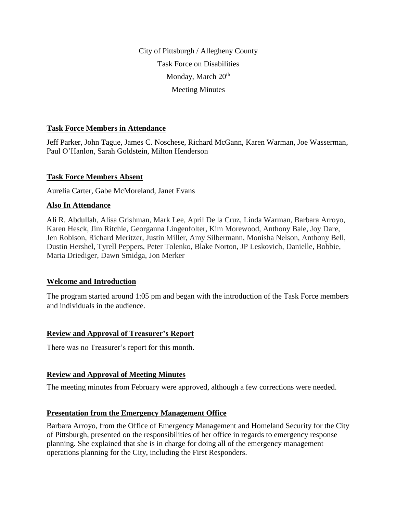City of Pittsburgh / Allegheny County Task Force on Disabilities Monday, March 20<sup>th</sup> Meeting Minutes

# **Task Force Members in Attendance**

Jeff Parker, John Tague, James C. Noschese, Richard McGann, Karen Warman, Joe Wasserman, Paul O'Hanlon, Sarah Goldstein, Milton Henderson

#### **Task Force Members Absent**

Aurelia Carter, Gabe McMoreland, Janet Evans

#### **Also In Attendance**

Ali R. Abdullah, Alisa Grishman, Mark Lee, April De la Cruz, Linda Warman, Barbara Arroyo, Karen Hesck, Jim Ritchie, Georganna Lingenfolter, Kim Morewood, Anthony Bale, Joy Dare, Jen Robison, Richard Meritzer, Justin Miller, Amy Silbermann, Monisha Nelson, Anthony Bell, Dustin Hershel, Tyrell Peppers, Peter Tolenko, Blake Norton, JP Leskovich, Danielle, Bobbie, Maria Driediger, Dawn Smidga, Jon Merker

#### **Welcome and Introduction**

The program started around 1:05 pm and began with the introduction of the Task Force members and individuals in the audience.

# **Review and Approval of Treasurer's Report**

There was no Treasurer's report for this month.

# **Review and Approval of Meeting Minutes**

The meeting minutes from February were approved, although a few corrections were needed.

# **Presentation from the Emergency Management Office**

Barbara Arroyo, from the Office of Emergency Management and Homeland Security for the City of Pittsburgh, presented on the responsibilities of her office in regards to emergency response planning. She explained that she is in charge for doing all of the emergency management operations planning for the City, including the First Responders.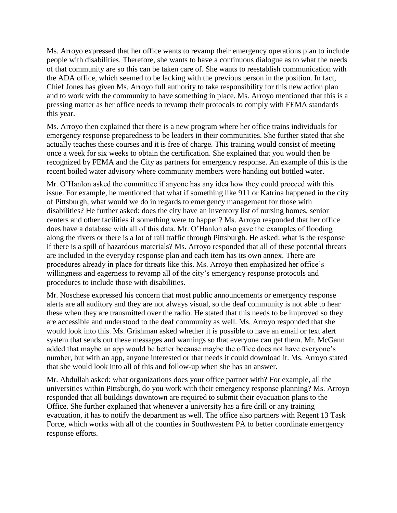Ms. Arroyo expressed that her office wants to revamp their emergency operations plan to include people with disabilities. Therefore, she wants to have a continuous dialogue as to what the needs of that community are so this can be taken care of. She wants to reestablish communication with the ADA office, which seemed to be lacking with the previous person in the position. In fact, Chief Jones has given Ms. Arroyo full authority to take responsibility for this new action plan and to work with the community to have something in place. Ms. Arroyo mentioned that this is a pressing matter as her office needs to revamp their protocols to comply with FEMA standards this year.

Ms. Arroyo then explained that there is a new program where her office trains individuals for emergency response preparedness to be leaders in their communities. She further stated that she actually teaches these courses and it is free of charge. This training would consist of meeting once a week for six weeks to obtain the certification. She explained that you would then be recognized by FEMA and the City as partners for emergency response. An example of this is the recent boiled water advisory where community members were handing out bottled water.

Mr. O'Hanlon asked the committee if anyone has any idea how they could proceed with this issue. For example, he mentioned that what if something like 911 or Katrina happened in the city of Pittsburgh, what would we do in regards to emergency management for those with disabilities? He further asked: does the city have an inventory list of nursing homes, senior centers and other facilities if something were to happen? Ms. Arroyo responded that her office does have a database with all of this data. Mr. O'Hanlon also gave the examples of flooding along the rivers or there is a lot of rail traffic through Pittsburgh. He asked: what is the response if there is a spill of hazardous materials? Ms. Arroyo responded that all of these potential threats are included in the everyday response plan and each item has its own annex. There are procedures already in place for threats like this. Ms. Arroyo then emphasized her office's willingness and eagerness to revamp all of the city's emergency response protocols and procedures to include those with disabilities.

Mr. Noschese expressed his concern that most public announcements or emergency response alerts are all auditory and they are not always visual, so the deaf community is not able to hear these when they are transmitted over the radio. He stated that this needs to be improved so they are accessible and understood to the deaf community as well. Ms. Arroyo responded that she would look into this. Ms. Grishman asked whether it is possible to have an email or text alert system that sends out these messages and warnings so that everyone can get them. Mr. McGann added that maybe an app would be better because maybe the office does not have everyone's number, but with an app, anyone interested or that needs it could download it. Ms. Arroyo stated that she would look into all of this and follow-up when she has an answer.

Mr. Abdullah asked: what organizations does your office partner with? For example, all the universities within Pittsburgh, do you work with their emergency response planning? Ms. Arroyo responded that all buildings downtown are required to submit their evacuation plans to the Office. She further explained that whenever a university has a fire drill or any training evacuation, it has to notify the department as well. The office also partners with Regent 13 Task Force, which works with all of the counties in Southwestern PA to better coordinate emergency response efforts.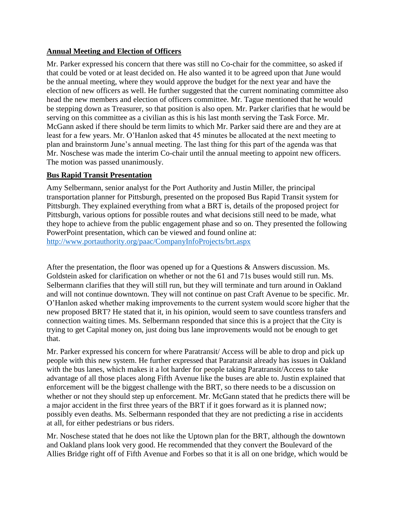# **Annual Meeting and Election of Officers**

Mr. Parker expressed his concern that there was still no Co-chair for the committee, so asked if that could be voted or at least decided on. He also wanted it to be agreed upon that June would be the annual meeting, where they would approve the budget for the next year and have the election of new officers as well. He further suggested that the current nominating committee also head the new members and election of officers committee. Mr. Tague mentioned that he would be stepping down as Treasurer, so that position is also open. Mr. Parker clarifies that he would be serving on this committee as a civilian as this is his last month serving the Task Force. Mr. McGann asked if there should be term limits to which Mr. Parker said there are and they are at least for a few years. Mr. O'Hanlon asked that 45 minutes be allocated at the next meeting to plan and brainstorm June's annual meeting. The last thing for this part of the agenda was that Mr. Noschese was made the interim Co-chair until the annual meeting to appoint new officers. The motion was passed unanimously.

# **Bus Rapid Transit Presentation**

Amy Selbermann, senior analyst for the Port Authority and Justin Miller, the principal transportation planner for Pittsburgh, presented on the proposed Bus Rapid Transit system for Pittsburgh. They explained everything from what a BRT is, details of the proposed project for Pittsburgh, various options for possible routes and what decisions still need to be made, what they hope to achieve from the public engagement phase and so on. They presented the following PowerPoint presentation, which can be viewed and found online at: <http://www.portauthority.org/paac/CompanyInfoProjects/brt.aspx>

After the presentation, the floor was opened up for a Questions & Answers discussion. Ms. Goldstein asked for clarification on whether or not the 61 and 71s buses would still run. Ms. Selbermann clarifies that they will still run, but they will terminate and turn around in Oakland and will not continue downtown. They will not continue on past Craft Avenue to be specific. Mr. O'Hanlon asked whether making improvements to the current system would score higher that the new proposed BRT? He stated that it, in his opinion, would seem to save countless transfers and connection waiting times. Ms. Selbermann responded that since this is a project that the City is trying to get Capital money on, just doing bus lane improvements would not be enough to get that.

Mr. Parker expressed his concern for where Paratransit/ Access will be able to drop and pick up people with this new system. He further expressed that Paratransit already has issues in Oakland with the bus lanes, which makes it a lot harder for people taking Paratransit/Access to take advantage of all those places along Fifth Avenue like the buses are able to. Justin explained that enforcement will be the biggest challenge with the BRT, so there needs to be a discussion on whether or not they should step up enforcement. Mr. McGann stated that he predicts there will be a major accident in the first three years of the BRT if it goes forward as it is planned now; possibly even deaths. Ms. Selbermann responded that they are not predicting a rise in accidents at all, for either pedestrians or bus riders.

Mr. Noschese stated that he does not like the Uptown plan for the BRT, although the downtown and Oakland plans look very good. He recommended that they convert the Boulevard of the Allies Bridge right off of Fifth Avenue and Forbes so that it is all on one bridge, which would be